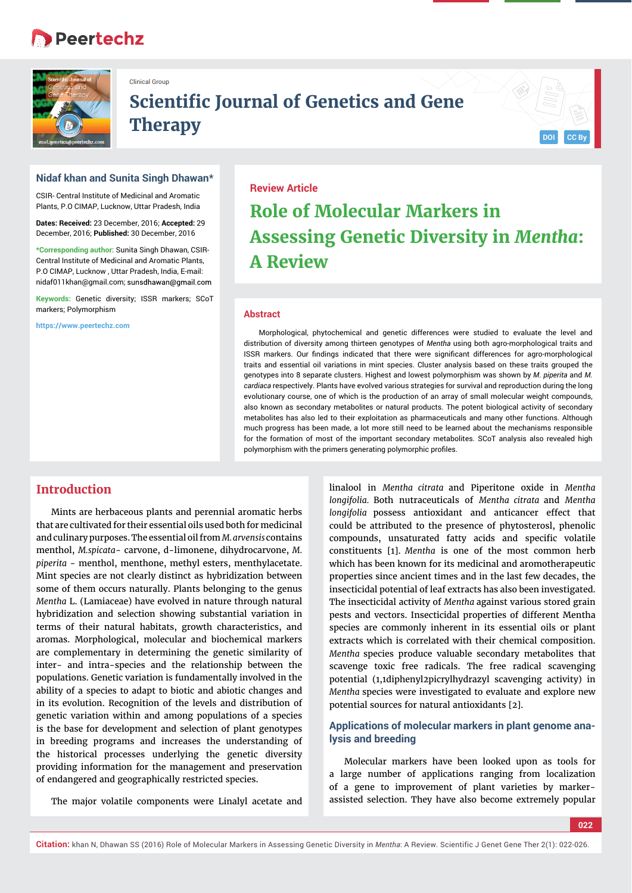# **Peertechz**



Clinical Group

# **Scientific Journal of Genetics and Gene**  $The$ **rapy**

# **Nidaf khan and Sunita Singh Dhawan\***

CSIR- Central Institute of Medicinal and Aromatic Plants, P.O CIMAP, Lucknow, Uttar Pradesh, India

**Dates: Received:** 23 December, 2016; **Accepted:** 29 December, 2016; **Published:** 30 December, 2016

**\*Corresponding author:** Sunita Singh Dhawan, CSIR-Central Institute of Medicinal and Aromatic Plants, P.O CIMAP, Lucknow , Uttar Pradesh, India, E-mail: nidaf011khan@gmail.com; sunsdhawan@gmail.com

**Keywords:** Genetic diversity; ISSR markers; SCoT markers; Polymorphism

**https://www.peertechz.com**

# **Review Article Role of Molecular Markers in Assessing Genetic Diversity in** *Mentha***: A Review**

#### **Abstract**

Morphological, phytochemical and genetic differences were studied to evaluate the level and distribution of diversity among thirteen genotypes of *Mentha* using both agro-morphological traits and ISSR markers. Our findings indicated that there were significant differences for agro-morphological traits and essential oil variations in mint species. Cluster analysis based on these traits grouped the genotypes into 8 separate clusters. Highest and lowest polymorphism was shown by *M. piperita* and *M. cardiaca* respectively. Plants have evolved various strategies for survival and reproduction during the long evolutionary course, one of which is the production of an array of small molecular weight compounds, also known as secondary metabolites or natural products. The potent biological activity of secondary metabolites has also led to their exploitation as pharmaceuticals and many other functions. Although much progress has been made, a lot more still need to be learned about the mechanisms responsible for the formation of most of the important secondary metabolites. SCoT analysis also revealed high polymorphism with the primers generating polymorphic profiles.

# **Introduction**

Mints are herbaceous plants and perennial aromatic herbs that are cultivated for their essential oils used both for medicinal and culinary purposes. The essential oil from *M. arvensis* contains menthol, *M.spicata*- carvone, d-limonene, dihydrocarvone, *M. piperita* - menthol, menthone, methyl esters, menthylacetate. Mint species are not clearly distinct as hybridization between some of them occurs naturally. Plants belonging to the genus *Mentha* L. (Lamiaceae) have evolved in nature through natural hybridization and selection showing substantial variation in terms of their natural habitats, growth characteristics, and aromas. Morphological, molecular and biochemical markers are complementary in determining the genetic similarity of inter- and intra-species and the relationship between the populations. Genetic variation is fundamentally involved in the ability of a species to adapt to biotic and abiotic changes and in its evolution. Recognition of the levels and distribution of genetic variation within and among populations of a species is the base for development and selection of plant genotypes in breeding programs and increases the understanding of the historical processes underlying the genetic diversity providing information for the management and preservation of endangered and geographically restricted species.

The major volatile components were Linalyl acetate and

linalool in *Mentha citrata* and Piperitone oxide in *Mentha longifolia.* Both nutraceuticals of *Mentha citrata* and *Mentha longifolia* possess antioxidant and anticancer effect that could be attributed to the presence of phytosterosl, phenolic compounds, unsaturated fatty acids and specific volatile constituents [1]. *Mentha* is one of the most common herb which has been known for its medicinal and aromotherapeutic properties since ancient times and in the last few decades, the insecticidal potential of leaf extracts has also been investigated. The insecticidal activity of *Mentha* against various stored grain pests and vectors. Insecticidal properties of different Mentha species are commonly inherent in its essential oils or plant extracts which is correlated with their chemical composition. *Mentha* species produce valuable secondary metabolites that scavenge toxic free radicals. The free radical scavenging potential (1,1diphenyl2picrylhydrazyl scavenging activity) in *Mentha* species were investigated to evaluate and explore new potential sources for natural antioxidants [2].

# **Applications of molecular markers in plant genome analysis and breeding**

Molecular markers have been looked upon as tools for a large number of applications ranging from localization of a gene to improvement of plant varieties by markerassisted selection. They have also become extremely popular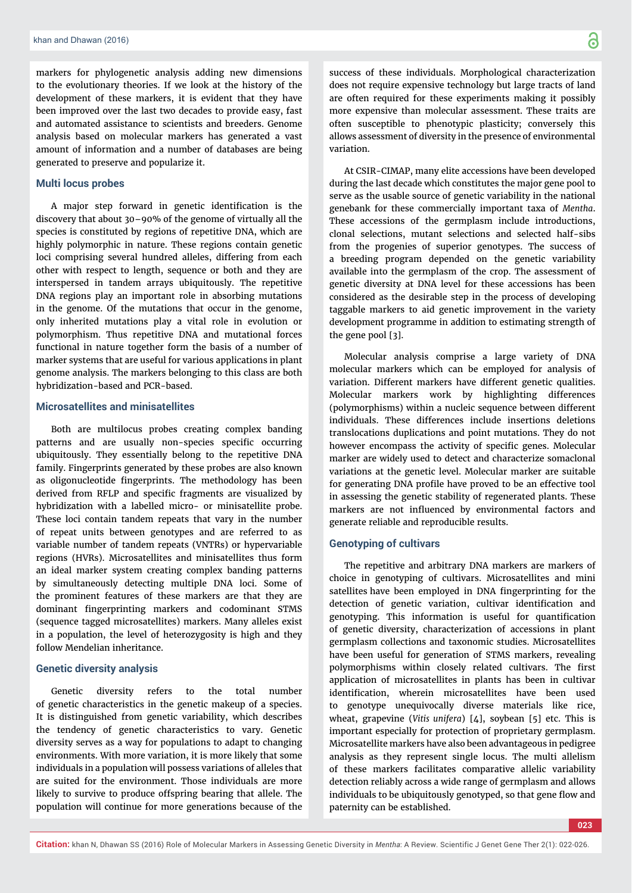markers for phylogenetic analysis adding new dimensions to the evolutionary theories. If we look at the history of the development of these markers, it is evident that they have been improved over the last two decades to provide easy, fast and automated assistance to scientists and breeders. Genome analysis based on molecular markers has generated a vast amount of information and a number of databases are being generated to preserve and popularize it.

### **Multi locus probes**

A major step forward in genetic identification is the discovery that about 30–90% of the genome of virtually all the species is constituted by regions of repetitive DNA, which are highly polymorphic in nature. These regions contain genetic loci comprising several hundred alleles, differing from each other with respect to length, sequence or both and they are interspersed in tandem arrays ubiquitously. The repetitive DNA regions play an important role in absorbing mutations in the genome. Of the mutations that occur in the genome, only inherited mutations play a vital role in evolution or polymorphism. Thus repetitive DNA and mutational forces functional in nature together form the basis of a number of marker systems that are useful for various applications in plant genome analysis. The markers belonging to this class are both hybridization-based and PCR-based.

#### **Microsatellites and minisatellites**

Both are multilocus probes creating complex banding patterns and are usually non-species specific occurring ubiquitously. They essentially belong to the repetitive DNA family. Fingerprints generated by these probes are also known as oligonucleotide fingerprints. The methodology has been derived from RFLP and specific fragments are visualized by hybridization with a labelled micro- or minisatellite probe. These loci contain tandem repeats that vary in the number of repeat units between genotypes and are referred to as variable number of tandem repeats (VNTRs) or hypervariable regions (HVRs). Microsatellites and minisatellites thus form an ideal marker system creating complex banding patterns by simultaneously detecting multiple DNA loci. Some of the prominent features of these markers are that they are dominant fingerprinting markers and codominant STMS (sequence tagged microsatellites) markers. Many alleles exist in a population, the level of heterozygosity is high and they follow Mendelian inheritance.

#### **Genetic diversity analysis**

Genetic diversity refers to the total number of genetic characteristics in the genetic makeup of a species. It is distinguished from genetic variability, which describes the tendency of genetic characteristics to vary. Genetic diversity serves as a way for populations to adapt to changing environments. With more variation, it is more likely that some individuals in a population will possess variations of alleles that are suited for the environment. Those individuals are more likely to survive to produce offspring bearing that allele. The population will continue for more generations because of the

success of these individuals. Morphological characterization does not require expensive technology but large tracts of land are often required for these experiments making it possibly more expensive than molecular assessment. These traits are often susceptible to phenotypic plasticity; conversely this allows assessment of diversity in the presence of environmental variation.

At CSIR-CIMAP, many elite accessions have been developed during the last decade which constitutes the major gene pool to serve as the usable source of genetic variability in the national genebank for these commercially important taxa of *Mentha*. These accessions of the germplasm include introductions, clonal selections, mutant selections and selected half-sibs from the progenies of superior genotypes. The success of a breeding program depended on the genetic variability available into the germplasm of the crop. The assessment of genetic diversity at DNA level for these accessions has been considered as the desirable step in the process of developing taggable markers to aid genetic improvement in the variety development programme in addition to estimating strength of the gene pool [3].

Molecular analysis comprise a large variety of DNA molecular markers which can be employed for analysis of variation. Different markers have different genetic qualities. Molecular markers work by highlighting differences (polymorphisms) within a nucleic sequence between different individuals. These differences include insertions deletions translocations duplications and point mutations. They do not however encompass the activity of specific genes. Molecular marker are widely used to detect and characterize somaclonal variations at the genetic level. Molecular marker are suitable for generating DNA profile have proved to be an effective tool in assessing the genetic stability of regenerated plants. These markers are not influenced by environmental factors and generate reliable and reproducible results.

# **Genotyping of cultivars**

The repetitive and arbitrary DNA markers are markers of choice in genotyping of cultivars. Microsatellites and mini satellites have been employed in DNA fingerprinting for the detection of genetic variation, cultivar identification and genotyping. This information is useful for quantification of genetic diversity, characterization of accessions in plant germplasm collections and taxonomic studies. Microsatellites have been useful for generation of STMS markers, revealing polymorphisms within closely related cultivars. The first application of microsatellites in plants has been in cultivar identification, wherein microsatellites have been used to genotype unequivocally diverse materials like rice, wheat, grapevine (*Vitis unifera*) [4], soybean [5] etc. This is important especially for protection of proprietary germplasm. Microsatellite markers have also been advantageous in pedigree analysis as they represent single locus. The multi allelism of these markers facilitates comparative allelic variability detection reliably across a wide range of germplasm and allows individuals to be ubiquitously genotyped, so that gene flow and paternity can be established.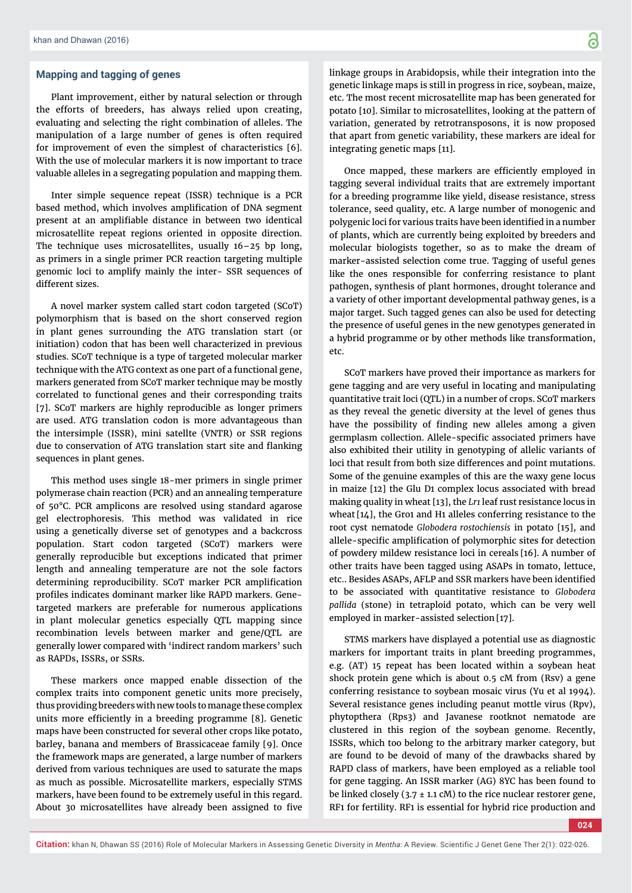# **Mapping and tagging of genes**

Plant improvement, either by natural selection or through the efforts of breeders, has always relied upon creating, evaluating and selecting the right combination of alleles. The manipulation of a large number of genes is often required for improvement of even the simplest of characteristics [6]. With the use of molecular markers it is now important to trace valuable alleles in a segregating population and mapping them.

Inter simple sequence repeat (ISSR) technique is a PCR based method, which involves amplification of DNA segment present at an amplifiable distance in between two identical microsatellite repeat regions oriented in opposite direction. The technique uses microsatellites, usually 16–25 bp long, as primers in a single primer PCR reaction targeting multiple genomic loci to amplify mainly the inter- SSR sequences of different sizes.

A novel marker system called start codon targeted (SCoT) polymorphism that is based on the short conserved region in plant genes surrounding the ATG translation start (or initiation) codon that has been well characterized in previous studies. SCoT technique is a type of targeted molecular marker technique with the ATG context as one part of a functional gene, markers generated from SCoT marker technique may be mostly correlated to functional genes and their corresponding traits [7]. SCoT markers are highly reproducible as longer primers are used. ATG translation codon is more advantageous than the intersimple (ISSR), mini satellte (VNTR) or SSR regions due to conservation of ATG translation start site and flanking sequences in plant genes.

This method uses single 18-mer primers in single primer polymerase chain reaction (PCR) and an annealing temperature of 50°C. PCR amplicons are resolved using standard agarose gel electrophoresis. This method was validated in rice using a genetically diverse set of genotypes and a backcross population. Start codon targeted (SCoT) markers were generally reproducible but exceptions indicated that primer length and annealing temperature are not the sole factors determining reproducibility. SCoT marker PCR amplification profiles indicates dominant marker like RAPD markers. Genetargeted markers are preferable for numerous applications in plant molecular genetics especially QTL mapping since recombination levels between marker and gene/QTL are generally lower compared with 'indirect random markers' such as RAPDs, ISSRs, or SSRs.

These markers once mapped enable dissection of the complex traits into component genetic units more precisely, thus providing breeders with new tools to manage these complex units more efficiently in a breeding programme [8]. Genetic maps have been constructed for several other crops like potato, barley, banana and members of Brassicaceae family [9]. Once the framework maps are generated, a large number of markers derived from various techniques are used to saturate the maps as much as possible. Microsatellite markers, especially STMS markers, have been found to be extremely useful in this regard. About 30 microsatellites have already been assigned to five

linkage groups in Arabidopsis, while their integration into the genetic linkage maps is still in progress in rice, soybean, maize, etc. The most recent microsatellite map has been generated for potato [10]. Similar to microsatellites, looking at the pattern of variation, generated by retrotransposons, it is now proposed that apart from genetic variability, these markers are ideal for integrating genetic maps [11].

Once mapped, these markers are efficiently employed in tagging several individual traits that are extremely important for a breeding programme like yield, disease resistance, stress tolerance, seed quality, etc. A large number of monogenic and polygenic loci for various traits have been identified in a number of plants, which are currently being exploited by breeders and molecular biologists together, so as to make the dream of marker-assisted selection come true. Tagging of useful genes like the ones responsible for conferring resistance to plant pathogen, synthesis of plant hormones, drought tolerance and a variety of other important developmental pathway genes, is a major target. Such tagged genes can also be used for detecting the presence of useful genes in the new genotypes generated in a hybrid programme or by other methods like transformation, etc.

SCoT markers have proved their importance as markers for gene tagging and are very useful in locating and manipulating quantitative trait loci (QTL) in a number of crops. SCoT markers as they reveal the genetic diversity at the level of genes thus have the possibility of finding new alleles among a given germplasm collection. Allele-specific associated primers have also exhibited their utility in genotyping of allelic variants of loci that result from both size differences and point mutations. Some of the genuine examples of this are the waxy gene locus in maize [12] the Glu D1 complex locus associated with bread making quality in wheat [13], the *Lr1* leaf rust resistance locus in wheat [14], the Gro1 and H1 alleles conferring resistance to the root cyst nematode *Globodera rostochiensis* in potato [15], and allele-specific amplification of polymorphic sites for detection of powdery mildew resistance loci in cereals [16]. A number of other traits have been tagged using ASAPs in tomato, lettuce, etc.. Besides ASAPs, AFLP and SSR markers have been identified to be associated with quantitative resistance to *Globodera pallida* (stone) in tetraploid potato, which can be very well employed in marker-assisted selection [17].

STMS markers have displayed a potential use as diagnostic markers for important traits in plant breeding programmes, e.g. (AT) 15 repeat has been located within a soybean heat shock protein gene which is about 0.5 cM from (Rsv) a gene conferring resistance to soybean mosaic virus (Yu et al 1994). Several resistance genes including peanut mottle virus (Rpv), phytopthera (Rps3) and Javanese rootknot nematode are clustered in this region of the soybean genome. Recently, ISSRs, which too belong to the arbitrary marker category, but are found to be devoid of many of the drawbacks shared by RAPD class of markers, have been employed as a reliable tool for gene tagging. An ISSR marker (AG) 8YC has been found to be linked closely (3.7  $\pm$  1.1 cM) to the rice nuclear restorer gene, RF1 for fertility. RF1 is essential for hybrid rice production and

**024**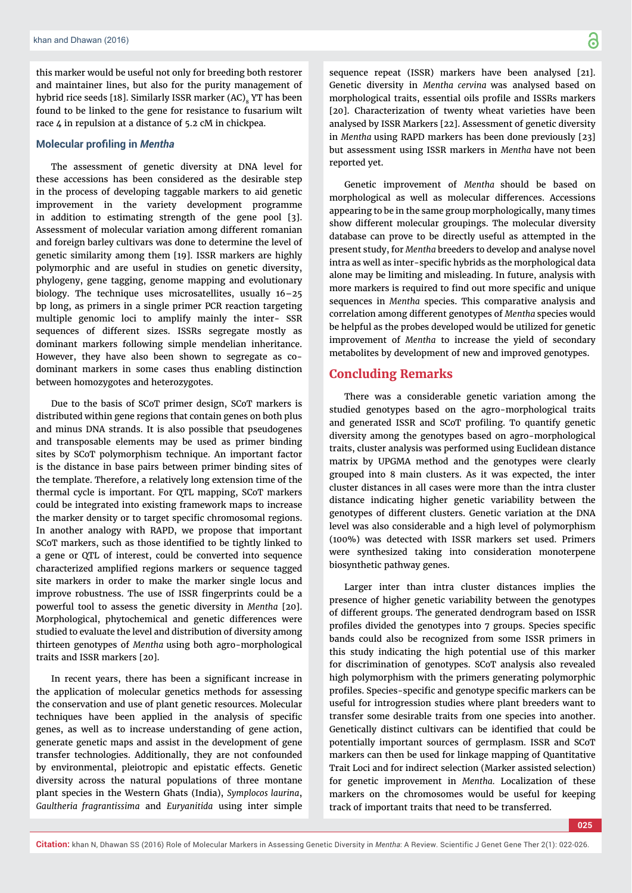this marker would be useful not only for breeding both restorer and maintainer lines, but also for the purity management of hybrid rice seeds [18]. Similarly ISSR marker (AC). YT has been found to be linked to the gene for resistance to fusarium wilt race 4 in repulsion at a distance of 5.2 cM in chickpea.

#### **Molecular profiling in Mentha**

The assessment of genetic diversity at DNA level for these accessions has been considered as the desirable step in the process of developing taggable markers to aid genetic improvement in the variety development programme in addition to estimating strength of the gene pool [3]. Assessment of molecular variation among different romanian and foreign barley cultivars was done to determine the level of genetic similarity among them [19]. ISSR markers are highly polymorphic and are useful in studies on genetic diversity, phylogeny, gene tagging, genome mapping and evolutionary biology. The technique uses microsatellites, usually 16–25 bp long, as primers in a single primer PCR reaction targeting multiple genomic loci to amplify mainly the inter- SSR sequences of different sizes. ISSRs segregate mostly as dominant markers following simple mendelian inheritance. However, they have also been shown to segregate as codominant markers in some cases thus enabling distinction between homozygotes and heterozygotes.

Due to the basis of SCoT primer design, SCoT markers is distributed within gene regions that contain genes on both plus and minus DNA strands. It is also possible that pseudogenes and transposable elements may be used as primer binding sites by SCoT polymorphism technique. An important factor is the distance in base pairs between primer binding sites of the template. Therefore, a relatively long extension time of the thermal cycle is important. For QTL mapping, SCoT markers could be integrated into existing framework maps to increase the marker density or to target specific chromosomal regions. In another analogy with RAPD, we propose that important SCoT markers, such as those identified to be tightly linked to a gene or QTL of interest, could be converted into sequence characterized amplified regions markers or sequence tagged site markers in order to make the marker single locus and improve robustness. The use of ISSR fingerprints could be a powerful tool to assess the genetic diversity in *Mentha* [20]. Morphological, phytochemical and genetic differences were studied to evaluate the level and distribution of diversity among thirteen genotypes of *Mentha* using both agro-morphological traits and ISSR markers [20].

In recent years, there has been a significant increase in the application of molecular genetics methods for assessing the conservation and use of plant genetic resources. Molecular techniques have been applied in the analysis of specific genes, as well as to increase understanding of gene action, generate genetic maps and assist in the development of gene transfer technologies. Additionally, they are not confounded by environmental, pleiotropic and epistatic effects. Genetic diversity across the natural populations of three montane plant species in the Western Ghats (India), *Symplocos laurina*, *Gaultheria fragrantissima* and *Euryanitida* using inter simple

sequence repeat (ISSR) markers have been analysed [21]. Genetic diversity in *Mentha cervina* was analysed based on morphological traits, essential oils profile and ISSRs markers [20]. Characterization of twenty wheat varieties have been analysed by ISSR Markers [22]. Assessment of genetic diversity in *Mentha* using RAPD markers has been done previously [23] but assessment using ISSR markers in *Mentha* have not been reported yet.

Genetic improvement of *Mentha* should be based on morphological as well as molecular differences. Accessions appearing to be in the same group morphologically, many times show different molecular groupings. The molecular diversity database can prove to be directly useful as attempted in the present study, for *Mentha* breeders to develop and analyse novel intra as well as inter-specific hybrids as the morphological data alone may be limiting and misleading. In future, analysis with more markers is required to find out more specific and unique sequences in *Mentha* species. This comparative analysis and correlation among different genotypes of *Mentha* species would be helpful as the probes developed would be utilized for genetic improvement of *Mentha* to increase the yield of secondary metabolites by development of new and improved genotypes.

### **Concluding Remarks**

There was a considerable genetic variation among the studied genotypes based on the agro-morphological traits and generated ISSR and SCoT profiling. To quantify genetic diversity among the genotypes based on agro-morphological traits, cluster analysis was performed using Euclidean distance matrix by UPGMA method and the genotypes were clearly grouped into 8 main clusters. As it was expected, the inter cluster distances in all cases were more than the intra cluster distance indicating higher genetic variability between the genotypes of different clusters. Genetic variation at the DNA level was also considerable and a high level of polymorphism (100%) was detected with ISSR markers set used. Primers were synthesized taking into consideration monoterpene biosynthetic pathway genes.

Larger inter than intra cluster distances implies the presence of higher genetic variability between the genotypes of different groups. The generated dendrogram based on ISSR profiles divided the genotypes into 7 groups. Species specific bands could also be recognized from some ISSR primers in this study indicating the high potential use of this marker for discrimination of genotypes. SCoT analysis also revealed high polymorphism with the primers generating polymorphic profiles. Species-specific and genotype specific markers can be useful for introgression studies where plant breeders want to transfer some desirable traits from one species into another. Genetically distinct cultivars can be identified that could be potentially important sources of germplasm. ISSR and SCoT markers can then be used for linkage mapping of Quantitative Trait Loci and for indirect selection (Marker assisted selection) for genetic improvement in *Mentha.* Localization of these markers on the chromosomes would be useful for keeping track of important traits that need to be transferred.

**Citation:** khan N, Dhawan SS (2016) Role of Molecular Markers in Assessing Genetic Diversity in *Mentha*: A Review. Scientific J Genet Gene Ther 2(1): 022-026.

**025**